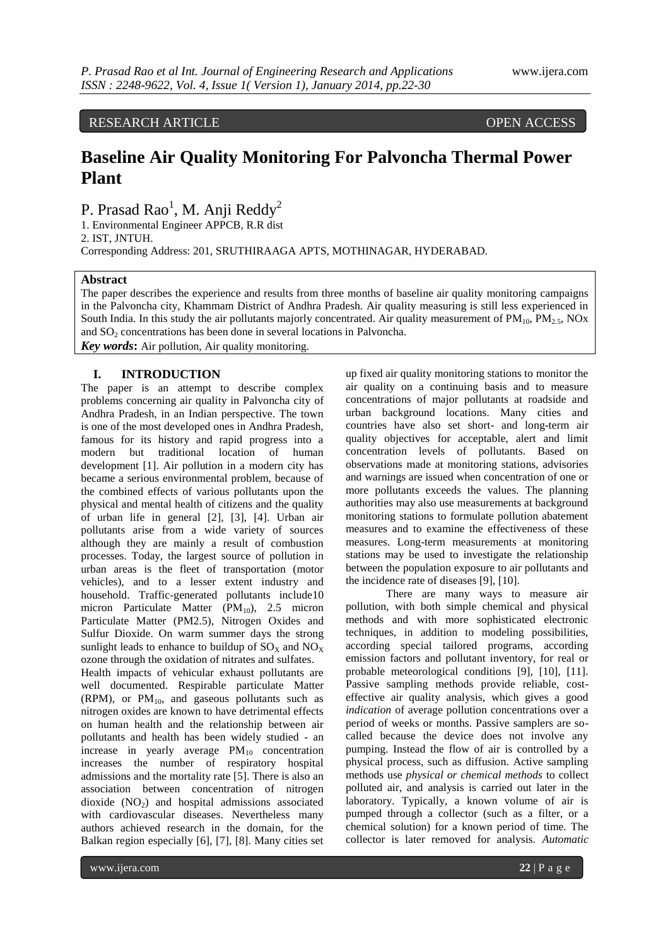RESEARCH ARTICLE OPEN ACCESS

# **Baseline Air Quality Monitoring For Palvoncha Thermal Power Plant**

P. Prasad Rao $^1$ , M. Anji Reddy $^2$ 

1. Environmental Engineer APPCB, R.R dist 2. IST, JNTUH. Corresponding Address: 201, SRUTHIRAAGA APTS, MOTHINAGAR, HYDERABAD.

# **Abstract**

The paper describes the experience and results from three months of baseline air quality monitoring campaigns in the Palvoncha city, Khammam District of Andhra Pradesh. Air quality measuring is still less experienced in South India. In this study the air pollutants majorly concentrated. Air quality measurement of  $PM_{10}$ ,  $PM_{2.5}$ , NOx and  $SO<sub>2</sub>$  concentrations has been done in several locations in Palvoncha.

*Key words***:** Air pollution, Air quality monitoring.

# **I. INTRODUCTION**

The paper is an attempt to describe complex problems concerning air quality in Palvoncha city of Andhra Pradesh, in an Indian perspective. The town is one of the most developed ones in Andhra Pradesh, famous for its history and rapid progress into a modern but traditional location of human development [1]. Air pollution in a modern city has became a serious environmental problem, because of the combined effects of various pollutants upon the physical and mental health of citizens and the quality of urban life in general [2], [3], [4]. Urban air pollutants arise from a wide variety of sources although they are mainly a result of combustion processes. Today, the largest source of pollution in urban areas is the fleet of transportation (motor vehicles), and to a lesser extent industry and household. Traffic-generated pollutants include10 micron Particulate Matter  $(PM_{10})$ , 2.5 micron Particulate Matter (PM2.5), Nitrogen Oxides and Sulfur Dioxide. On warm summer days the strong sunlight leads to enhance to buildup of  $SO<sub>x</sub>$  and  $NO<sub>x</sub>$ ozone through the oxidation of nitrates and sulfates.

Health impacts of vehicular exhaust pollutants are well documented. Respirable particulate Matter (RPM), or  $PM_{10}$ , and gaseous pollutants such as nitrogen oxides are known to have detrimental effects on human health and the relationship between air pollutants and health has been widely studied - an increase in yearly average  $PM_{10}$  concentration increases the number of respiratory hospital admissions and the mortality rate [5]. There is also an association between concentration of nitrogen dioxide  $(NO<sub>2</sub>)$  and hospital admissions associated with cardiovascular diseases. Nevertheless many authors achieved research in the domain, for the Balkan region especially [6], [7], [8]. Many cities set

up fixed air quality monitoring stations to monitor the air quality on a continuing basis and to measure concentrations of major pollutants at roadside and urban background locations. Many cities and countries have also set short- and long-term air quality objectives for acceptable, alert and limit concentration levels of pollutants. Based on observations made at monitoring stations, advisories and warnings are issued when concentration of one or more pollutants exceeds the values. The planning authorities may also use measurements at background monitoring stations to formulate pollution abatement measures and to examine the effectiveness of these measures. Long-term measurements at monitoring stations may be used to investigate the relationship between the population exposure to air pollutants and the incidence rate of diseases [9], [10].

There are many ways to measure air pollution, with both simple chemical and physical methods and with more sophisticated electronic techniques, in addition to modeling possibilities, according special tailored programs, according emission factors and pollutant inventory, for real or probable meteorological conditions [9], [10], [11]. Passive sampling methods provide reliable, costeffective air quality analysis, which gives a good *indication* of average pollution concentrations over a period of weeks or months. Passive samplers are socalled because the device does not involve any pumping. Instead the flow of air is controlled by a physical process, such as diffusion. Active sampling methods use *physical or chemical methods* to collect polluted air, and analysis is carried out later in the laboratory. Typically, a known volume of air is pumped through a collector (such as a filter, or a chemical solution) for a known period of time. The collector is later removed for analysis. *Automatic*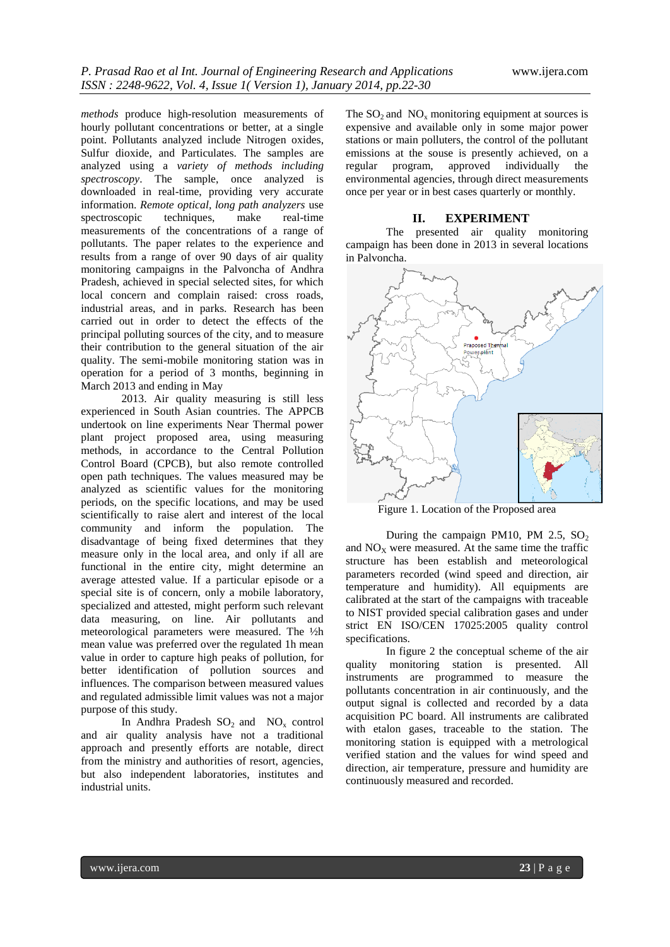*methods* produce high-resolution measurements of hourly pollutant concentrations or better, at a single point. Pollutants analyzed include Nitrogen oxides, Sulfur dioxide, and Particulates. The samples are analyzed using a *variety of methods including spectroscopy*. The sample, once analyzed is downloaded in real-time, providing very accurate information. *Remote optical, long path analyzers* use spectroscopic techniques, make real-time measurements of the concentrations of a range of pollutants. The paper relates to the experience and results from a range of over 90 days of air quality monitoring campaigns in the Palvoncha of Andhra Pradesh, achieved in special selected sites, for which local concern and complain raised: cross roads, industrial areas, and in parks. Research has been carried out in order to detect the effects of the principal polluting sources of the city, and to measure their contribution to the general situation of the air quality. The semi-mobile monitoring station was in operation for a period of 3 months, beginning in March 2013 and ending in May

2013. Air quality measuring is still less experienced in South Asian countries. The APPCB undertook on line experiments Near Thermal power plant project proposed area, using measuring methods, in accordance to the Central Pollution Control Board (CPCB), but also remote controlled open path techniques. The values measured may be analyzed as scientific values for the monitoring periods, on the specific locations, and may be used scientifically to raise alert and interest of the local community and inform the population. The disadvantage of being fixed determines that they measure only in the local area, and only if all are functional in the entire city, might determine an average attested value. If a particular episode or a special site is of concern, only a mobile laboratory, specialized and attested, might perform such relevant data measuring, on line. Air pollutants and meteorological parameters were measured. The ½h mean value was preferred over the regulated 1h mean value in order to capture high peaks of pollution, for better identification of pollution sources and influences. The comparison between measured values and regulated admissible limit values was not a major purpose of this study.

In Andhra Pradesh  $SO_2$  and  $NO_x$  control and air quality analysis have not a traditional approach and presently efforts are notable, direct from the ministry and authorities of resort, agencies, but also independent laboratories, institutes and industrial units.

The  $SO_2$  and  $NO_x$  monitoring equipment at sources is expensive and available only in some major power stations or main polluters, the control of the pollutant emissions at the souse is presently achieved, on a regular program, approved individually the environmental agencies, through direct measurements once per year or in best cases quarterly or monthly.

# **II. EXPERIMENT**

The presented air quality monitoring campaign has been done in 2013 in several locations in Palvoncha.



Figure 1. Location of the Proposed area

During the campaign PM10, PM 2.5,  $SO_2$ and  $NO<sub>x</sub>$  were measured. At the same time the traffic structure has been establish and meteorological parameters recorded (wind speed and direction, air temperature and humidity). All equipments are calibrated at the start of the campaigns with traceable to NIST provided special calibration gases and under strict EN ISO/CEN 17025:2005 quality control specifications.

In figure 2 the conceptual scheme of the air quality monitoring station is presented. All instruments are programmed to measure the pollutants concentration in air continuously, and the output signal is collected and recorded by a data acquisition PC board. All instruments are calibrated with etalon gases, traceable to the station. The monitoring station is equipped with a metrological verified station and the values for wind speed and direction, air temperature, pressure and humidity are continuously measured and recorded.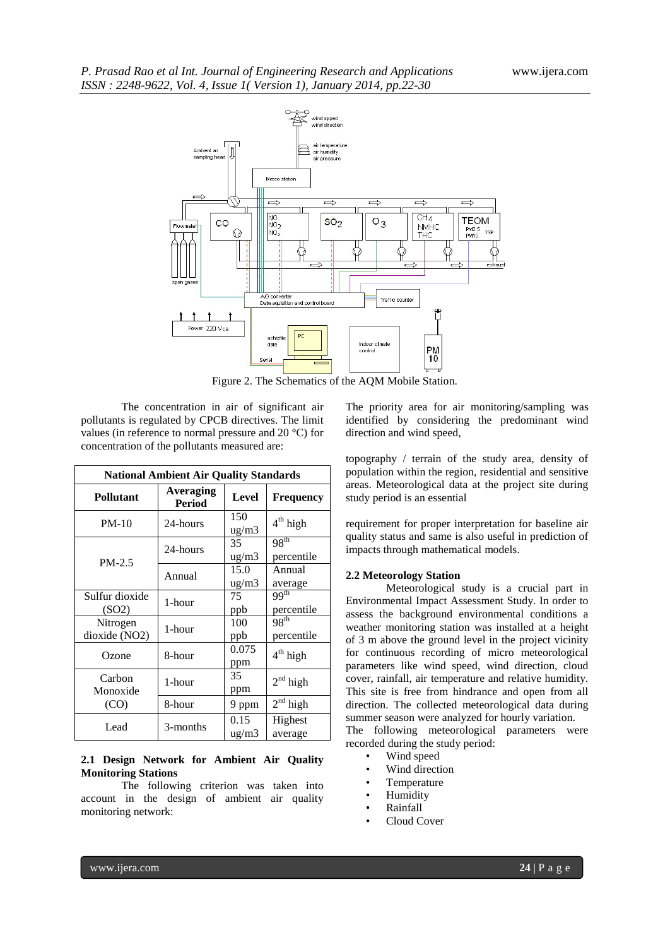

Figure 2. The Schematics of the AQM Mobile Station.

The concentration in air of significant air pollutants is regulated by CPCB directives. The limit values (in reference to normal pressure and 20 °C) for concentration of the pollutants measured are:

| <b>National Ambient Air Quality Standards</b> |                            |                       |                                |  |  |
|-----------------------------------------------|----------------------------|-----------------------|--------------------------------|--|--|
| <b>Pollutant</b>                              | Averaging<br><b>Period</b> | <b>Level</b>          |                                |  |  |
| $PM-10$                                       | 24-hours                   | 150<br>ug/m3          | $4th$ high                     |  |  |
|                                               | 24-hours                   | 35<br>$\frac{ug}{m3}$ | 98 <sup>th</sup><br>percentile |  |  |
| $PM-2.5$                                      | Annual                     | 15.0<br>ug/m3         | Annual<br>average              |  |  |
| Sulfur dioxide<br>(SO2)                       | 1-hour                     | 75<br>ppb             | 99 <sup>th</sup><br>percentile |  |  |
| Nitrogen<br>dioxide (NO2)                     | 1-hour                     | 100<br>ppb            | 98 <sup>th</sup><br>percentile |  |  |
| Ozone                                         | 8-hour                     | 0.075<br>ppm          | $4th$ high                     |  |  |
| Carbon<br>Monoxide                            | 1-hour                     | 35<br>ppm             | $2nd$ high                     |  |  |
| (CO)                                          | 8-hour                     | 9 ppm                 | $2nd$ high                     |  |  |
| Lead                                          | 3-months                   | 0.15<br>ug/m3         | Highest<br>average             |  |  |

# **2.1 Design Network for Ambient Air Quality Monitoring Stations**

The following criterion was taken into account in the design of ambient air quality monitoring network:

The priority area for air monitoring/sampling was identified by considering the predominant wind direction and wind speed,

topography / terrain of the study area, density of population within the region, residential and sensitive areas. Meteorological data at the project site during study period is an essential

requirement for proper interpretation for baseline air quality status and same is also useful in prediction of impacts through mathematical models.

# **2.2 Meteorology Station**

Meteorological study is a crucial part in Environmental Impact Assessment Study. In order to assess the background environmental conditions a weather monitoring station was installed at a height of 3 m above the ground level in the project vicinity for continuous recording of micro meteorological parameters like wind speed, wind direction, cloud cover, rainfall, air temperature and relative humidity. This site is free from hindrance and open from all direction. The collected meteorological data during summer season were analyzed for hourly variation.

The following meteorological parameters were recorded during the study period:

- Wind speed
- Wind direction
- Temperature
- Humidity
- Rainfall
- Cloud Cover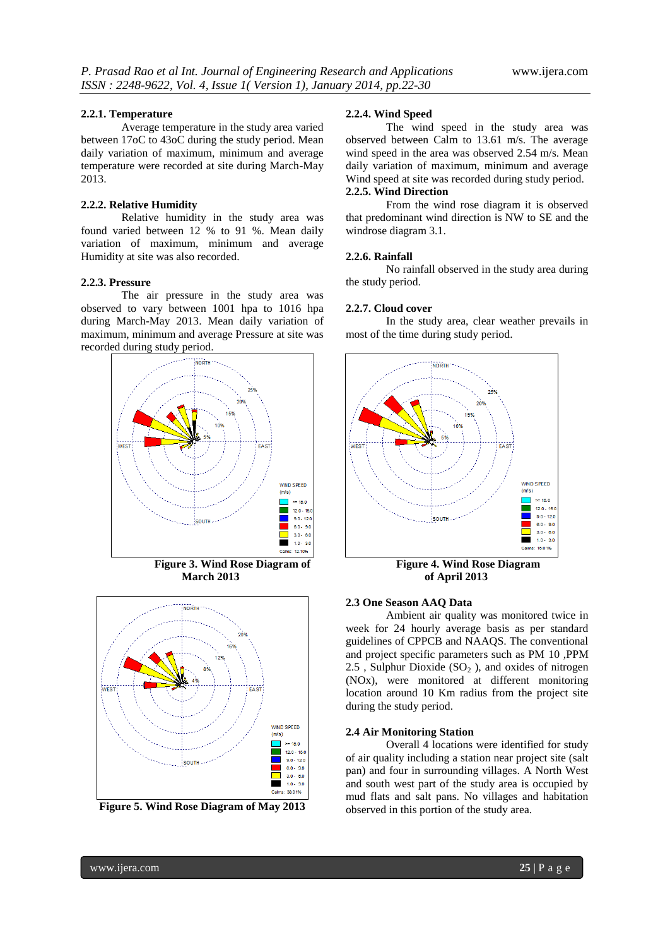#### **2.2.1. Temperature**

Average temperature in the study area varied between 17oC to 43oC during the study period. Mean daily variation of maximum, minimum and average temperature were recorded at site during March-May 2013.

#### **2.2.2. Relative Humidity**

Relative humidity in the study area was found varied between 12 % to 91 %. Mean daily variation of maximum, minimum and average Humidity at site was also recorded.

# **2.2.3. Pressure**

The air pressure in the study area was observed to vary between 1001 hpa to 1016 hpa during March-May 2013. Mean daily variation of maximum, minimum and average Pressure at site was recorded during study period.



**March 2013 of April 2013**



**Figure 5. Wind Rose Diagram of May 2013**

### **2.2.4. Wind Speed**

The wind speed in the study area was observed between Calm to 13.61 m/s. The average wind speed in the area was observed 2.54 m/s. Mean daily variation of maximum, minimum and average Wind speed at site was recorded during study period. **2.2.5. Wind Direction**

# From the wind rose diagram it is observed that predominant wind direction is NW to SE and the windrose diagram 3.1.

#### **2.2.6. Rainfall**

No rainfall observed in the study area during the study period.

#### **2.2.7. Cloud cover**

In the study area, clear weather prevails in most of the time during study period.



**Figure 3. Wind Rose Diagram of Figure 4. Wind Rose Diagram** 

# **2.3 One Season AAQ Data**

Ambient air quality was monitored twice in week for 24 hourly average basis as per standard guidelines of CPPCB and NAAQS. The conventional and project specific parameters such as PM 10 ,PPM 2.5 , Sulphur Dioxide  $(SO<sub>2</sub>)$ , and oxides of nitrogen (NOx), were monitored at different monitoring location around 10 Km radius from the project site during the study period.

# **2.4 Air Monitoring Station**

Overall 4 locations were identified for study of air quality including a station near project site (salt pan) and four in surrounding villages. A North West and south west part of the study area is occupied by mud flats and salt pans. No villages and habitation observed in this portion of the study area.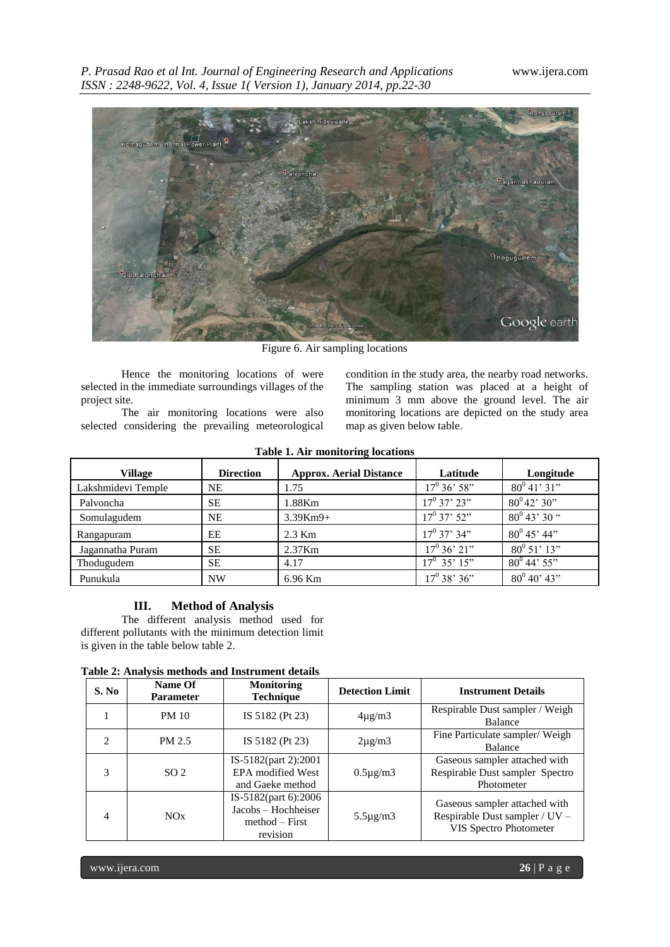

Figure 6. Air sampling locations

Hence the monitoring locations of were selected in the immediate surroundings villages of the project site.

The air monitoring locations were also selected considering the prevailing meteorological condition in the study area, the nearby road networks. The sampling station was placed at a height of minimum 3 mm above the ground level. The air monitoring locations are depicted on the study area map as given below table.

| <b>Village</b>     | <b>Direction</b> | <b>Approx. Aerial Distance</b> | Latitude             | Longitude             |  |
|--------------------|------------------|--------------------------------|----------------------|-----------------------|--|
| Lakshmidevi Temple | NE               | 1.75                           | $17^0$ 36' 58"       | $80^0$ 41' 31"        |  |
| Palvoncha          | <b>SE</b>        | 1.88Km                         | $17^0$ 37' 23"       | $80^042'30''$         |  |
| Somulagudem        | NΕ               | $3.39Km9+$                     | $17^0$ 37' 52"       | $80^0$ 43' 30 "       |  |
| Rangapuram         | EΕ               | $2.3$ Km                       | $17^0$ 37' 34"       | $80^{\circ}$ 45' 44"  |  |
| Jagannatha Puram   | SЕ               | $2.37$ Km                      | $17^{\circ} 36' 21"$ | $80^{\circ} 51' 13''$ |  |
| Thodugudem         | SЕ               | 4.17                           | $17^0$ 35' $15$ "    | $80^{\circ}$ 44' 55"  |  |
| Punukula           | <b>NW</b>        | 6.96 Km                        | $17^0$ 38' 36"       | $80^0 40' 43''$       |  |

# **Table 1. Air monitoring locations**

# **III. Method of Analysis**

The different analysis method used for different pollutants with the minimum detection limit is given in the table below table 2.

| Table 2: Analysis methods and Instrument details |  |  |  |
|--------------------------------------------------|--|--|--|
|--------------------------------------------------|--|--|--|

| S. No          | Name Of<br><b>Parameter</b> | <b>Monitoring</b><br><b>Technique</b>                                       | <b>Detection Limit</b> | <b>Instrument Details</b>                                                                 |
|----------------|-----------------------------|-----------------------------------------------------------------------------|------------------------|-------------------------------------------------------------------------------------------|
|                | <b>PM 10</b>                | IS 5182 (Pt 23)                                                             | $4\mu$ g/m $3$         | Respirable Dust sampler / Weigh<br><b>Balance</b>                                         |
| $\mathfrak{D}$ | PM 2.5                      | IS 5182 (Pt 23)                                                             | $2\mu$ g/m $3$         | Fine Particulate sampler/ Weigh<br><b>Balance</b>                                         |
| 3              | SO <sub>2</sub>             | IS-5182(part 2):2001<br><b>EPA</b> modified West<br>and Gaeke method        | $0.5\mu$ g/m $3$       | Gaseous sampler attached with<br>Respirable Dust sampler Spectro<br>Photometer            |
| $\overline{4}$ | NOx                         | IS-5182(part 6):2006<br>Jacobs – Hochheiser<br>$method - First$<br>revision | $5.5\mu$ g/m $3$       | Gaseous sampler attached with<br>Respirable Dust sampler / UV -<br>VIS Spectro Photometer |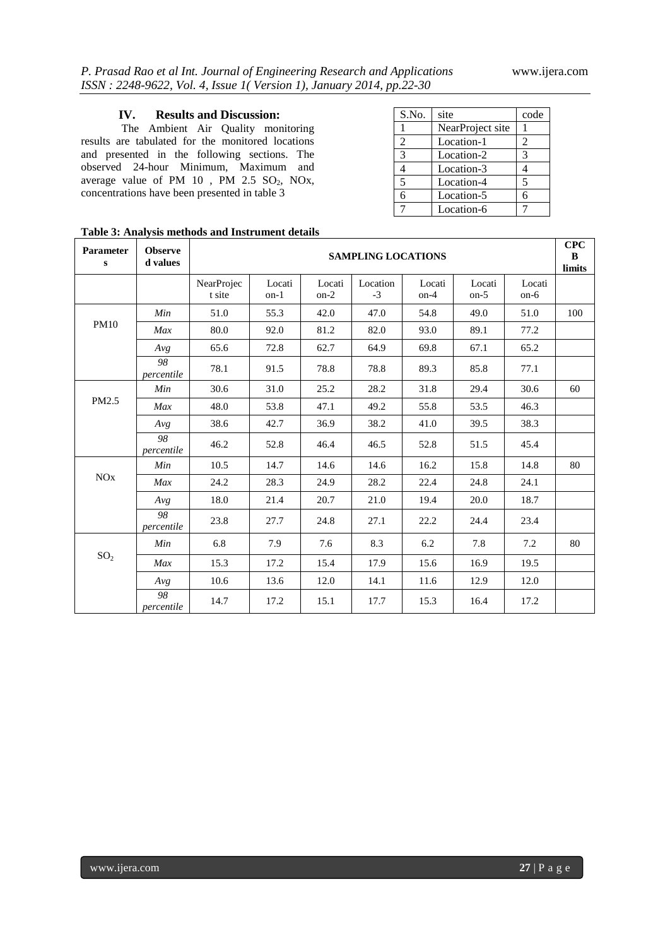# **IV. Results and Discussion:**

The Ambient Air Quality monitoring results are tabulated for the monitored locations and presented in the following sections. The observed 24-hour Minimum, Maximum and average value of PM  $10$ , PM  $2.5$  SO<sub>2</sub>, NO<sub>x</sub>, concentrations have been presented in table 3

| S.No.      | site             | code           |
|------------|------------------|----------------|
|            | NearProject site |                |
| 2          | Location-1       | $\mathfrak{D}$ |
| 3          | Location-2       | 3              |
|            | Location-3       | 4              |
| 5          | Location-4       | 5              |
| $\epsilon$ | Location-5       | 6              |
|            | Location-6       |                |

| <b>Parameter</b><br>s | <b>Observe</b><br>d values | <b>SAMPLING LOCATIONS</b> |                  |                  |                  |                  |                  | <b>CPC</b><br>B<br>limits |     |
|-----------------------|----------------------------|---------------------------|------------------|------------------|------------------|------------------|------------------|---------------------------|-----|
|                       |                            | NearProjec<br>t site      | Locati<br>$on-1$ | Locati<br>$on-2$ | Location<br>$-3$ | Locati<br>$on-4$ | Locati<br>$on-5$ | Locati<br>$on-6$          |     |
| <b>PM10</b>           | Min                        | 51.0                      | 55.3             | 42.0             | 47.0             | 54.8             | 49.0             | 51.0                      | 100 |
|                       | Max                        | 80.0                      | 92.0             | 81.2             | 82.0             | 93.0             | 89.1             | 77.2                      |     |
|                       | Avg                        | 65.6                      | 72.8             | 62.7             | 64.9             | 69.8             | 67.1             | 65.2                      |     |
|                       | 98<br>percentile           | 78.1                      | 91.5             | 78.8             | 78.8             | 89.3             | 85.8             | 77.1                      |     |
|                       | Min                        | 30.6                      | 31.0             | 25.2             | 28.2             | 31.8             | 29.4             | 30.6                      | 60  |
| PM2.5                 | Max                        | 48.0                      | 53.8             | 47.1             | 49.2             | 55.8             | 53.5             | 46.3                      |     |
|                       | Avg                        | 38.6                      | 42.7             | 36.9             | 38.2             | 41.0             | 39.5             | 38.3                      |     |
|                       | 98<br>percentile           | 46.2                      | 52.8             | 46.4             | 46.5             | 52.8             | 51.5             | 45.4                      |     |
| <b>NO<sub>x</sub></b> | Min                        | 10.5                      | 14.7             | 14.6             | 14.6             | 16.2             | 15.8             | 14.8                      | 80  |
|                       | Max                        | 24.2                      | 28.3             | 24.9             | 28.2             | 22.4             | 24.8             | 24.1                      |     |
|                       | Avg                        | 18.0                      | 21.4             | 20.7             | 21.0             | 19.4             | 20.0             | 18.7                      |     |
|                       | 98<br>percentile           | 23.8                      | 27.7             | 24.8             | 27.1             | 22.2             | 24.4             | 23.4                      |     |
| SO <sub>2</sub>       | Min                        | 6.8                       | 7.9              | 7.6              | 8.3              | 6.2              | 7.8              | 7.2                       | 80  |
|                       | Max                        | 15.3                      | 17.2             | 15.4             | 17.9             | 15.6             | 16.9             | 19.5                      |     |
|                       | Avg                        | 10.6                      | 13.6             | 12.0             | 14.1             | 11.6             | 12.9             | 12.0                      |     |
|                       | 98<br>percentile           | 14.7                      | 17.2             | 15.1             | 17.7             | 15.3             | 16.4             | 17.2                      |     |

# **Table 3: Analysis methods and Instrument details**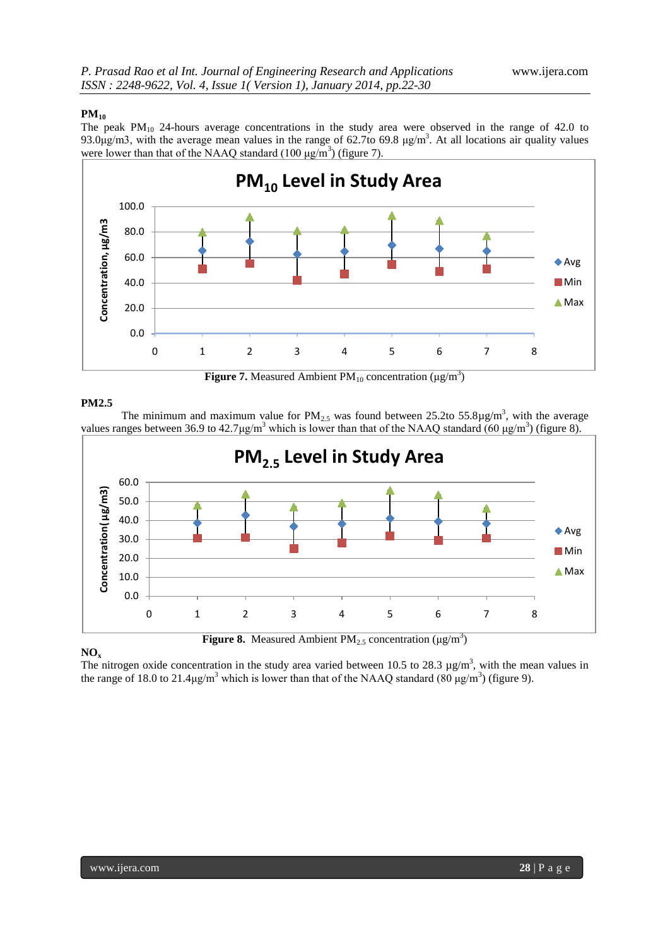# **PM<sup>10</sup>**

The peak PM<sub>10</sub> 24-hours average concentrations in the study area were observed in the range of 42.0 to 93.0μg/m3, with the average mean values in the range of 62.7to 69.8 μg/m<sup>3</sup>. At all locations air quality values were lower than that of the NAAQ standard  $(100 \mu g/m^3)$  (figure 7).



**Figure 7.** Measured Ambient  $PM_{10}$  concentration ( $\mu$ g/m<sup>3</sup>)

# **PM2.5**

The minimum and maximum value for  $PM_{2.5}$  was found between 25.2to 55.8 $\mu$ g/m<sup>3</sup>, with the average values ranges between 36.9 to 42.7 $\mu$ g/m<sup>3</sup> which is lower than that of the NAAQ standard (60  $\mu$ g/m<sup>3</sup>) (figure 8).



# **NO<sup>x</sup>**

The nitrogen oxide concentration in the study area varied between 10.5 to 28.3  $\mu$ g/m<sup>3</sup>, with the mean values in the range of 18.0 to 21.4 $\mu$ g/m<sup>3</sup> which is lower than that of the NAAQ standard (80  $\mu$ g/m<sup>3</sup>) (figure 9).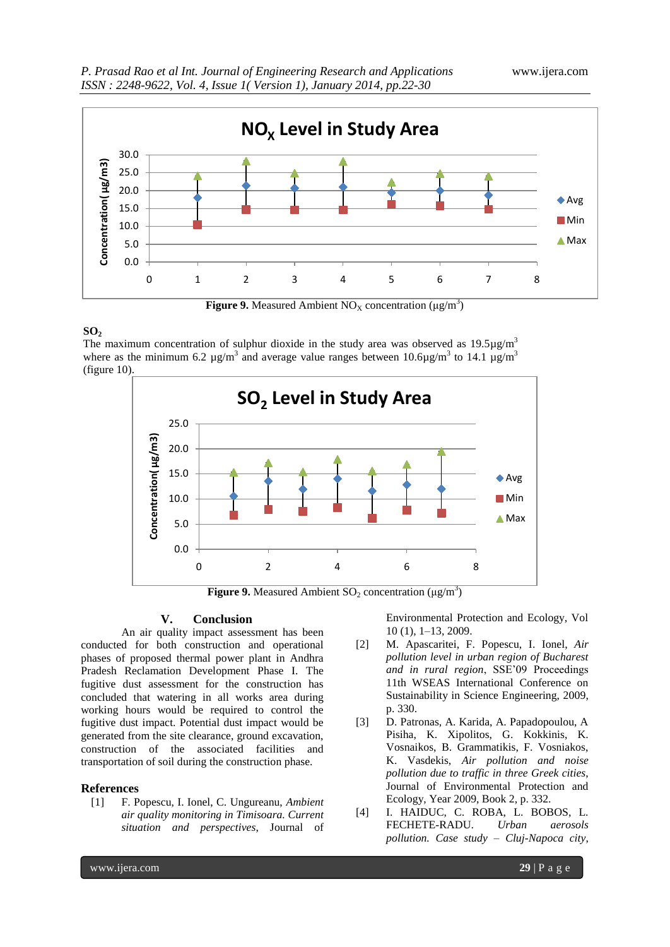

**Figure 9.** Measured Ambient  $NO_X$  concentration  $(\mu g/m^3)$ 

# **SO<sup>2</sup>**

The maximum concentration of sulphur dioxide in the study area was observed as  $19.5\mu g/m<sup>3</sup>$ where as the minimum 6.2  $\mu$ g/m<sup>3</sup> and average value ranges between 10.6 $\mu$ g/m<sup>3</sup> to 14.1  $\mu$ g/m<sup>3</sup> (figure 10).



**Figure 9.** Measured Ambient  $SO_2$  concentration  $(\mu g/m^3)$ 

### **V. Conclusion**

An air quality impact assessment has been conducted for both construction and operational phases of proposed thermal power plant in Andhra Pradesh Reclamation Development Phase I. The fugitive dust assessment for the construction has concluded that watering in all works area during working hours would be required to control the fugitive dust impact. Potential dust impact would be generated from the site clearance, ground excavation, construction of the associated facilities and transportation of soil during the construction phase.

#### **References**

[1] F. Popescu, I. Ionel, C. Ungureanu, *Ambient air quality monitoring in Timisoara. Current situation and perspectives*, Journal of Environmental Protection and Ecology, Vol 10 (1), 1–13, 2009.

- [2] M. Apascaritei, F. Popescu, I. Ionel, *Air pollution level in urban region of Bucharest and in rural region*, SSE'09 Proceedings 11th WSEAS International Conference on Sustainability in Science Engineering, 2009, p. 330.
- [3] D. Patronas, A. Karida, A. Papadopoulou, A Pisiha, K. Xipolitos, G. Kokkinis, K. Vosnaikos, B. Grammatikis, F. Vosniakos, K. Vasdekis, *Air pollution and noise pollution due to traffic in three Greek cities*, Journal of Environmental Protection and Ecology, Year 2009, Book 2, p. 332.
- [4] I. HAIDUC, C. ROBA, L. BOBOS, L. FECHETE-RADU. *Urban aerosols pollution. Case study – Cluj-Napoca city*,